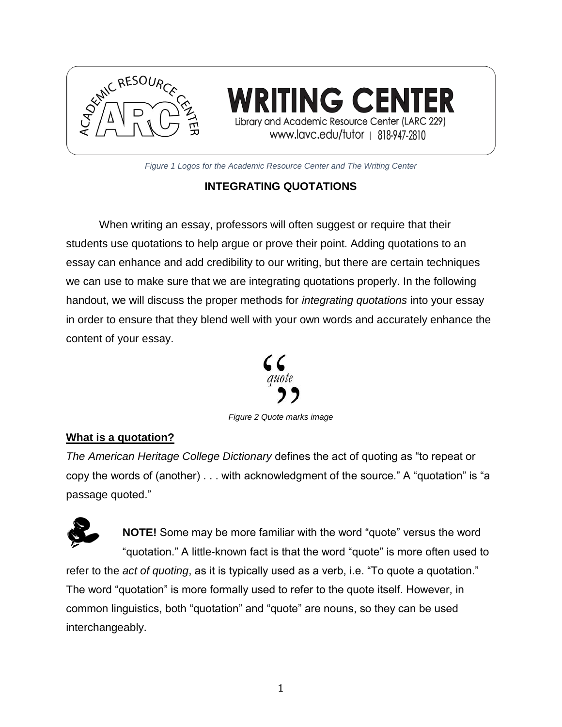

RITING CENT Library and Academic Resource Center (LARC 229) www.lavc.edu/tutor | 818-947-2810

*Figure 1 Logos for the Academic Resource Center and The Writing Center*

## **INTEGRATING QUOTATIONS**

When writing an essay, professors will often suggest or require that their students use quotations to help argue or prove their point. Adding quotations to an essay can enhance and add credibility to our writing, but there are certain techniques we can use to make sure that we are integrating quotations properly. In the following handout, we will discuss the proper methods for *integrating quotations* into your essay in order to ensure that they blend well with your own words and accurately enhance the content of your essay.



*Figure 2 Quote marks image*

#### **What is a quotation?**

*The American Heritage College Dictionary* defines the act of quoting as "to repeat or copy the words of (another) . . . with acknowledgment of the source." A "quotation" is "a passage quoted."



**NOTE!** Some may be more familiar with the word "quote" versus the word "quotation." A little-known fact is that the word "quote" is more often used to refer to the *act of quoting*, as it is typically used as a verb, i.e. "To quote a quotation." The word "quotation" is more formally used to refer to the quote itself. However, in common linguistics, both "quotation" and "quote" are nouns, so they can be used interchangeably.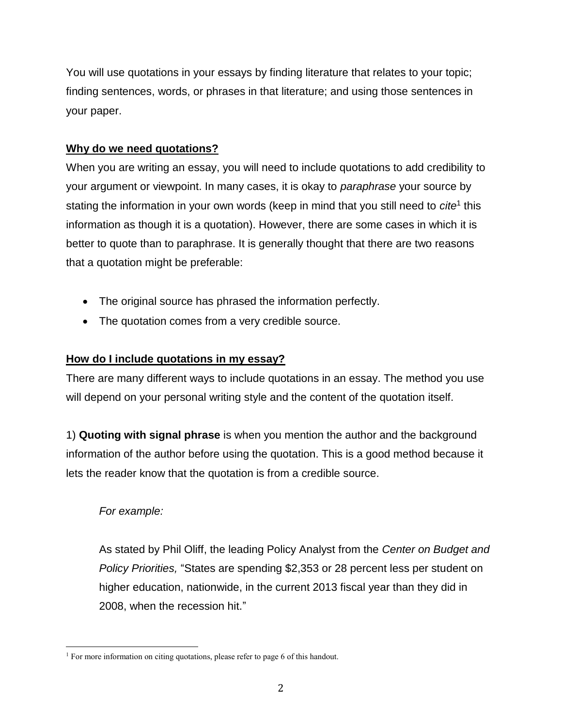You will use quotations in your essays by finding literature that relates to your topic; finding sentences, words, or phrases in that literature; and using those sentences in your paper.

## **Why do we need quotations?**

When you are writing an essay, you will need to include quotations to add credibility to your argument or viewpoint. In many cases, it is okay to *paraphrase* your source by stating the information in your own words (keep in mind that you still need to *cite*<sup>1</sup> this information as though it is a quotation). However, there are some cases in which it is better to quote than to paraphrase. It is generally thought that there are two reasons that a quotation might be preferable:

- The original source has phrased the information perfectly.
- The quotation comes from a very credible source.

# **How do I include quotations in my essay?**

There are many different ways to include quotations in an essay. The method you use will depend on your personal writing style and the content of the quotation itself.

1) **Quoting with signal phrase** is when you mention the author and the background information of the author before using the quotation. This is a good method because it lets the reader know that the quotation is from a credible source.

# *For example:*

As stated by Phil Oliff, the leading Policy Analyst from the *Center on Budget and Policy Priorities,* "States are spending \$2,353 or 28 percent less per student on higher education, nationwide, in the current 2013 fiscal year than they did in 2008, when the recession hit."

 $\overline{\phantom{a}}$ <sup>1</sup> For more information on citing quotations, please refer to page 6 of this handout.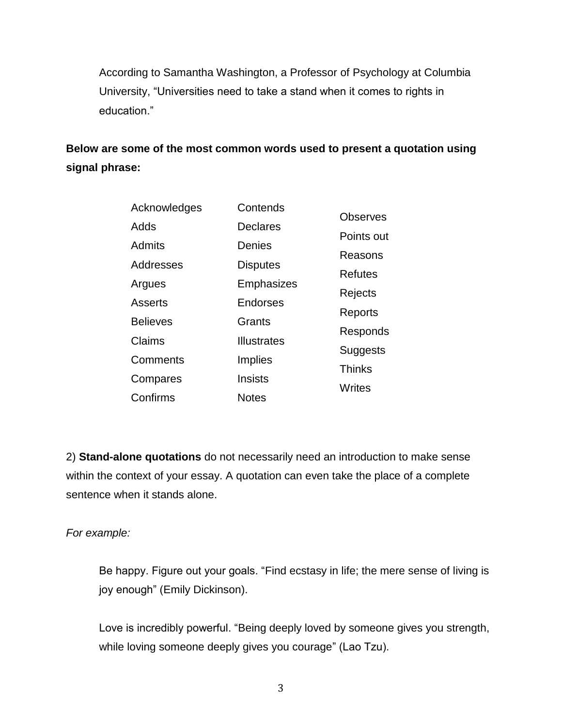According to Samantha Washington, a Professor of Psychology at Columbia University, "Universities need to take a stand when it comes to rights in education."

**Below are some of the most common words used to present a quotation using signal phrase:**

| Acknowledges    | Contends           | <b>Observes</b> |
|-----------------|--------------------|-----------------|
| Adds            | <b>Declares</b>    |                 |
| Admits          | Denies             | Points out      |
| Addresses       | <b>Disputes</b>    | Reasons         |
|                 |                    | <b>Refutes</b>  |
| Argues          | Emphasizes         | Rejects         |
| Asserts         | <b>Endorses</b>    | Reports         |
| <b>Believes</b> | Grants             | Responds        |
| Claims          | <b>Illustrates</b> |                 |
| Comments        | Implies            | Suggests        |
| Compares        | <b>Insists</b>     | <b>Thinks</b>   |
| Confirms        | <b>Notes</b>       | <b>Writes</b>   |
|                 |                    |                 |

2) **Stand-alone quotations** do not necessarily need an introduction to make sense within the context of your essay. A quotation can even take the place of a complete sentence when it stands alone.

### *For example:*

Be happy. Figure out your goals. "Find ecstasy in life; the mere sense of living is joy enough" (Emily Dickinson).

Love is incredibly powerful. "Being deeply loved by someone gives you strength, while loving someone deeply gives you courage" (Lao Tzu).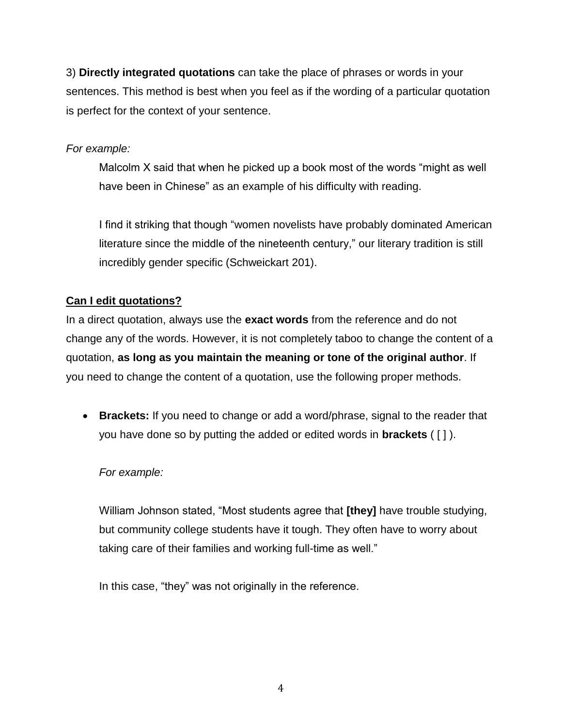3) **Directly integrated quotations** can take the place of phrases or words in your sentences. This method is best when you feel as if the wording of a particular quotation is perfect for the context of your sentence.

### *For example:*

Malcolm X said that when he picked up a book most of the words "might as well have been in Chinese" as an example of his difficulty with reading.

I find it striking that though "women novelists have probably dominated American literature since the middle of the nineteenth century," our literary tradition is still incredibly gender specific (Schweickart 201).

# **Can I edit quotations?**

In a direct quotation, always use the **exact words** from the reference and do not change any of the words. However, it is not completely taboo to change the content of a quotation, **as long as you maintain the meaning or tone of the original author**. If you need to change the content of a quotation, use the following proper methods.

• **Brackets:** If you need to change or add a word/phrase, signal to the reader that you have done so by putting the added or edited words in **brackets** ( [ ] ).

# *For example:*

William Johnson stated, "Most students agree that **[they]** have trouble studying, but community college students have it tough. They often have to worry about taking care of their families and working full-time as well."

In this case, "they" was not originally in the reference.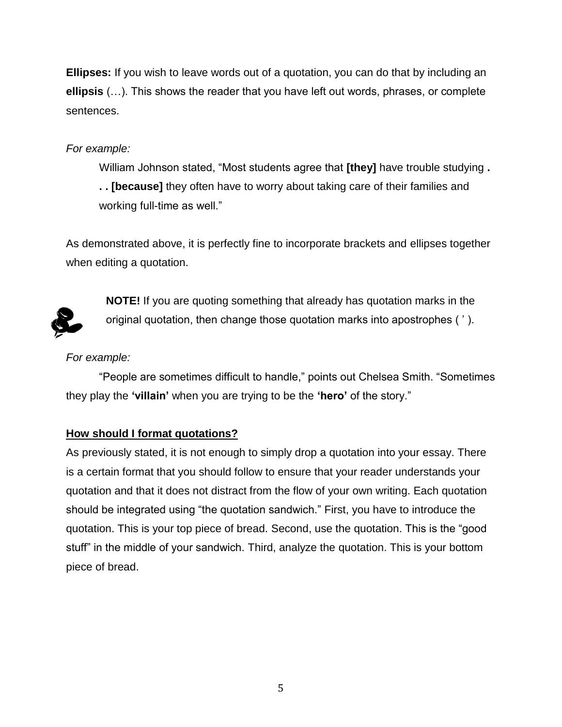**Ellipses:** If you wish to leave words out of a quotation, you can do that by including an **ellipsis** (…). This shows the reader that you have left out words, phrases, or complete sentences.

### *For example:*

William Johnson stated, "Most students agree that **[they]** have trouble studying **. . . [because]** they often have to worry about taking care of their families and working full-time as well."

As demonstrated above, it is perfectly fine to incorporate brackets and ellipses together when editing a quotation.



**NOTE!** If you are quoting something that already has quotation marks in the original quotation, then change those quotation marks into apostrophes ( ' ).

## *For example:*

"People are sometimes difficult to handle," points out Chelsea Smith. "Sometimes they play the **'villain'** when you are trying to be the **'hero'** of the story."

# **How should I format quotations?**

As previously stated, it is not enough to simply drop a quotation into your essay. There is a certain format that you should follow to ensure that your reader understands your quotation and that it does not distract from the flow of your own writing. Each quotation should be integrated using "the quotation sandwich." First, you have to introduce the quotation. This is your top piece of bread. Second, use the quotation. This is the "good stuff" in the middle of your sandwich. Third, analyze the quotation. This is your bottom piece of bread.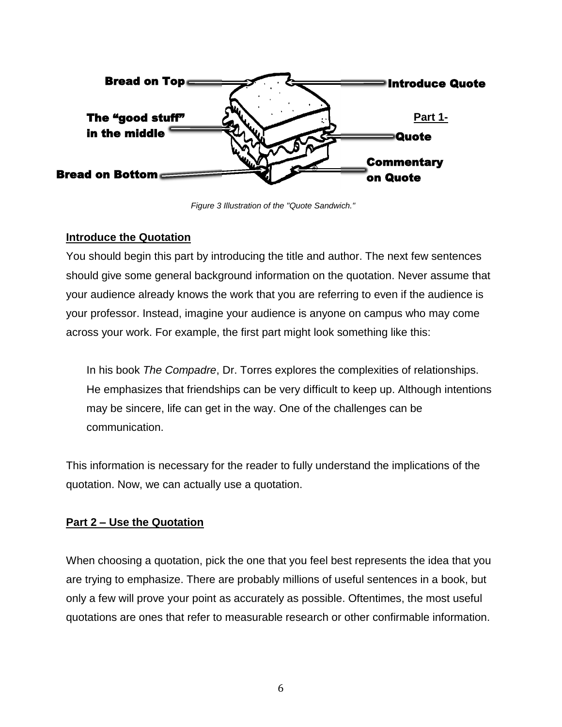

*Figure 3 Illustration of the "Quote Sandwich."*

### **Introduce the Quotation**

You should begin this part by introducing the title and author. The next few sentences should give some general background information on the quotation. Never assume that your audience already knows the work that you are referring to even if the audience is your professor. Instead, imagine your audience is anyone on campus who may come across your work. For example, the first part might look something like this:

In his book *The Compadre*, Dr. Torres explores the complexities of relationships. He emphasizes that friendships can be very difficult to keep up. Although intentions may be sincere, life can get in the way. One of the challenges can be communication.

This information is necessary for the reader to fully understand the implications of the quotation. Now, we can actually use a quotation.

### **Part 2 – Use the Quotation**

When choosing a quotation, pick the one that you feel best represents the idea that you are trying to emphasize. There are probably millions of useful sentences in a book, but only a few will prove your point as accurately as possible. Oftentimes, the most useful quotations are ones that refer to measurable research or other confirmable information.

6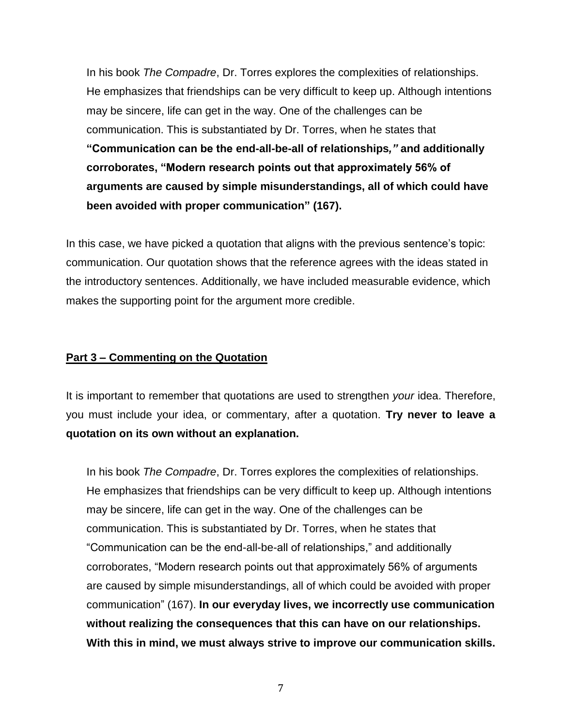In his book *The Compadre*, Dr. Torres explores the complexities of relationships. He emphasizes that friendships can be very difficult to keep up. Although intentions may be sincere, life can get in the way. One of the challenges can be communication. This is substantiated by Dr. Torres, when he states that **"Communication can be the end-all-be-all of relationships***,"* **and additionally corroborates, "Modern research points out that approximately 56% of arguments are caused by simple misunderstandings, all of which could have been avoided with proper communication" (167).** 

In this case, we have picked a quotation that aligns with the previous sentence's topic: communication. Our quotation shows that the reference agrees with the ideas stated in the introductory sentences. Additionally, we have included measurable evidence, which makes the supporting point for the argument more credible.

#### **Part 3 – Commenting on the Quotation**

It is important to remember that quotations are used to strengthen *your* idea. Therefore, you must include your idea, or commentary, after a quotation. **Try never to leave a quotation on its own without an explanation.** 

In his book *The Compadre*, Dr. Torres explores the complexities of relationships. He emphasizes that friendships can be very difficult to keep up. Although intentions may be sincere, life can get in the way. One of the challenges can be communication. This is substantiated by Dr. Torres, when he states that "Communication can be the end-all-be-all of relationships," and additionally corroborates, "Modern research points out that approximately 56% of arguments are caused by simple misunderstandings, all of which could be avoided with proper communication" (167). **In our everyday lives, we incorrectly use communication without realizing the consequences that this can have on our relationships. With this in mind, we must always strive to improve our communication skills.**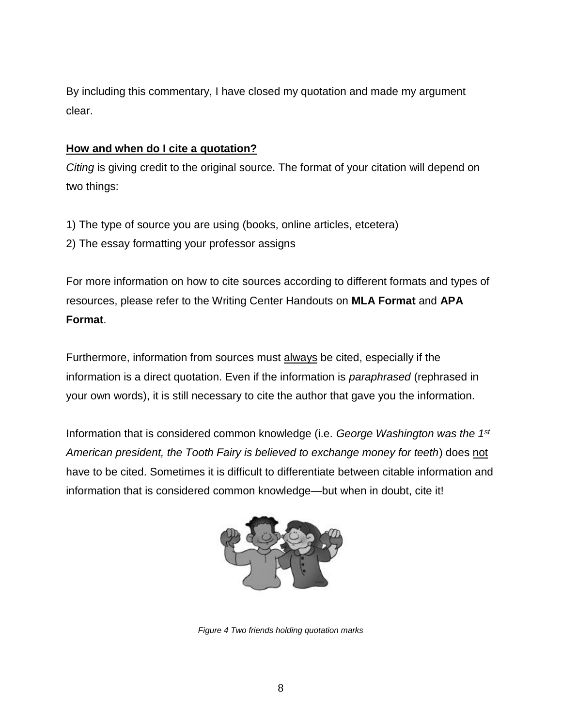By including this commentary, I have closed my quotation and made my argument clear.

#### **How and when do I cite a quotation?**

*Citing* is giving credit to the original source. The format of your citation will depend on two things:

- 1) The type of source you are using (books, online articles, etcetera)
- 2) The essay formatting your professor assigns

For more information on how to cite sources according to different formats and types of resources, please refer to the Writing Center Handouts on **MLA Format** and **APA Format**.

Furthermore, information from sources must always be cited, especially if the information is a direct quotation. Even if the information is *paraphrased* (rephrased in your own words), it is still necessary to cite the author that gave you the information.

Information that is considered common knowledge (i.e. *George Washington was the 1st American president, the Tooth Fairy is believed to exchange money for teeth*) does not have to be cited. Sometimes it is difficult to differentiate between citable information and information that is considered common knowledge—but when in doubt, cite it!



*Figure 4 Two friends holding quotation marks*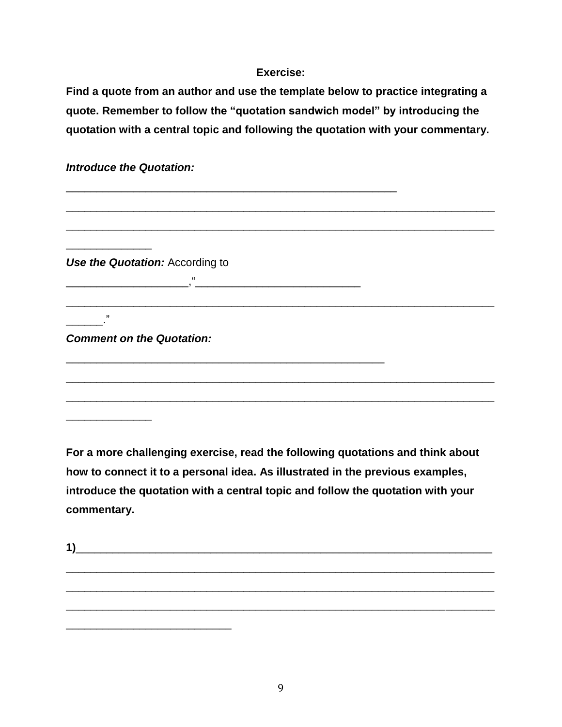#### **Exercise:**

**Find a quote from an author and use the template below to practice integrating a quote. Remember to follow the "quotation sandwich model" by introducing the quotation with a central topic and following the quotation with your commentary.**

| <b>Introduce the Quotation:</b>  |  |
|----------------------------------|--|
|                                  |  |
|                                  |  |
|                                  |  |
| Use the Quotation: According to  |  |
| $\epsilon$                       |  |
|                                  |  |
| ,,                               |  |
| <b>Comment on the Quotation:</b> |  |
|                                  |  |
|                                  |  |
|                                  |  |
|                                  |  |

**For a more challenging exercise, read the following quotations and think about how to connect it to a personal idea. As illustrated in the previous examples, introduce the quotation with a central topic and follow the quotation with your commentary.**

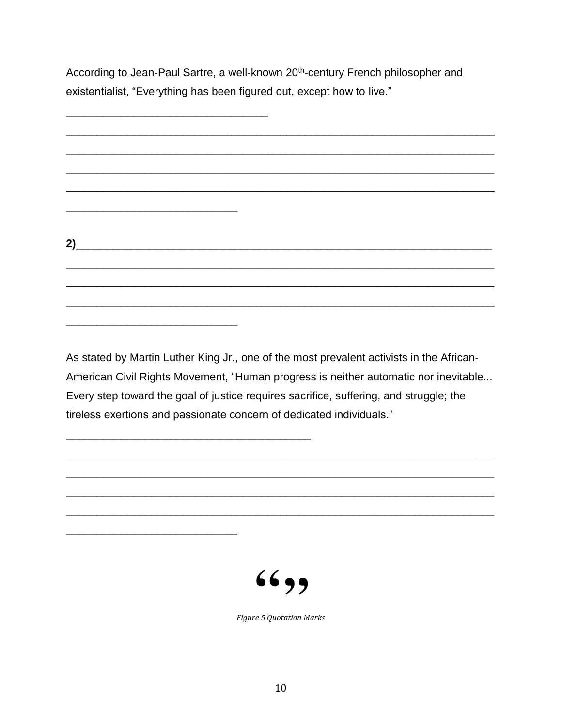According to Jean-Paul Sartre, a well-known 20<sup>th</sup>-century French philosopher and existentialist, "Everything has been figured out, except how to live."



As stated by Martin Luther King Jr., one of the most prevalent activists in the African-American Civil Rights Movement, "Human progress is neither automatic nor inevitable... Every step toward the goal of justice requires sacrifice, suffering, and struggle; the tireless exertions and passionate concern of dedicated individuals."



**Figure 5 Ouotation Marks**